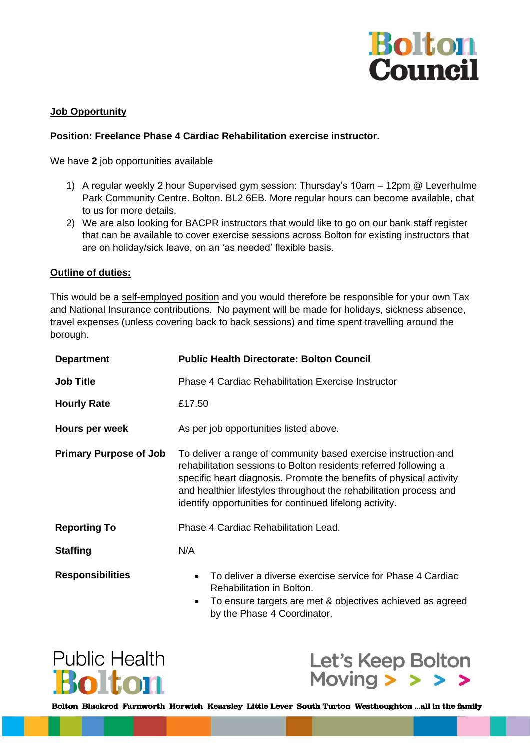

## **Job Opportunity**

## **Position: Freelance Phase 4 Cardiac Rehabilitation exercise instructor.**

We have **2** job opportunities available

- 1) A regular weekly 2 hour Supervised gym session: Thursday's 10am 12pm @ Leverhulme Park Community Centre. Bolton. BL2 6EB. More regular hours can become available, chat to us for more details.
- 2) We are also looking for BACPR instructors that would like to go on our bank staff register that can be available to cover exercise sessions across Bolton for existing instructors that are on holiday/sick leave, on an 'as needed' flexible basis.

### **Outline of duties:**

This would be a self-employed position and you would therefore be responsible for your own Tax and National Insurance contributions. No payment will be made for holidays, sickness absence, travel expenses (unless covering back to back sessions) and time spent travelling around the borough.

| <b>Department</b>             | <b>Public Health Directorate: Bolton Council</b>                                                                                                                                                                                                                                                                                           |
|-------------------------------|--------------------------------------------------------------------------------------------------------------------------------------------------------------------------------------------------------------------------------------------------------------------------------------------------------------------------------------------|
| <b>Job Title</b>              | <b>Phase 4 Cardiac Rehabilitation Exercise Instructor</b>                                                                                                                                                                                                                                                                                  |
| <b>Hourly Rate</b>            | £17.50                                                                                                                                                                                                                                                                                                                                     |
| Hours per week                | As per job opportunities listed above.                                                                                                                                                                                                                                                                                                     |
| <b>Primary Purpose of Job</b> | To deliver a range of community based exercise instruction and<br>rehabilitation sessions to Bolton residents referred following a<br>specific heart diagnosis. Promote the benefits of physical activity<br>and healthier lifestyles throughout the rehabilitation process and<br>identify opportunities for continued lifelong activity. |
| <b>Reporting To</b>           | Phase 4 Cardiac Rehabilitation Lead.                                                                                                                                                                                                                                                                                                       |
| <b>Staffing</b>               | N/A                                                                                                                                                                                                                                                                                                                                        |
| <b>Responsibilities</b>       | To deliver a diverse exercise service for Phase 4 Cardiac<br>$\bullet$<br>Rehabilitation in Bolton.<br>To ensure targets are met & objectives achieved as agreed<br>$\bullet$<br>by the Phase 4 Coordinator.                                                                                                                               |





Bolton Blackrod Farnworth Horwich Kearsley Little Lever South Turton Westhoughton ...all in the family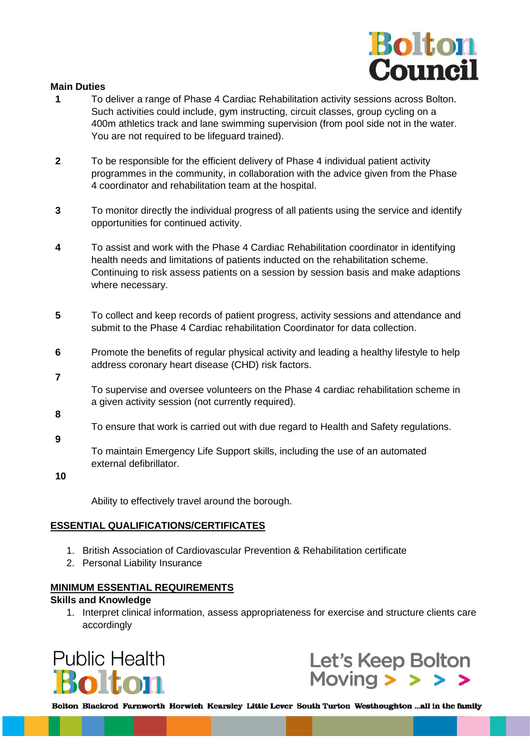

#### **Main Duties**

- **1** To deliver a range of Phase 4 Cardiac Rehabilitation activity sessions across Bolton. Such activities could include, gym instructing, circuit classes, group cycling on a 400m athletics track and lane swimming supervision (from pool side not in the water. You are not required to be lifeguard trained).
- **2** To be responsible for the efficient delivery of Phase 4 individual patient activity programmes in the community, in collaboration with the advice given from the Phase 4 coordinator and rehabilitation team at the hospital.
- **3** To monitor directly the individual progress of all patients using the service and identify opportunities for continued activity.
- **4** To assist and work with the Phase 4 Cardiac Rehabilitation coordinator in identifying health needs and limitations of patients inducted on the rehabilitation scheme. Continuing to risk assess patients on a session by session basis and make adaptions where necessary.
- **5** To collect and keep records of patient progress, activity sessions and attendance and submit to the Phase 4 Cardiac rehabilitation Coordinator for data collection.
- **6** Promote the benefits of regular physical activity and leading a healthy lifestyle to help address coronary heart disease (CHD) risk factors.
- **7**

To supervise and oversee volunteers on the Phase 4 cardiac rehabilitation scheme in a given activity session (not currently required).

**8**

To ensure that work is carried out with due regard to Health and Safety regulations.

**9**

To maintain Emergency Life Support skills, including the use of an automated external defibrillator.

**10**

Ability to effectively travel around the borough.

### **ESSENTIAL QUALIFICATIONS/CERTIFICATES**

- 1. British Association of Cardiovascular Prevention & Rehabilitation certificate
- 2. Personal Liability Insurance

# **MINIMUM ESSENTIAL REQUIREMENTS**

### **Skills and Knowledge**

1. Interpret clinical information, assess appropriateness for exercise and structure clients care accordingly





Bolton Blackrod Farnworth Horwich Kearsley Little Lever South Turton Westhoughton ...all in the family